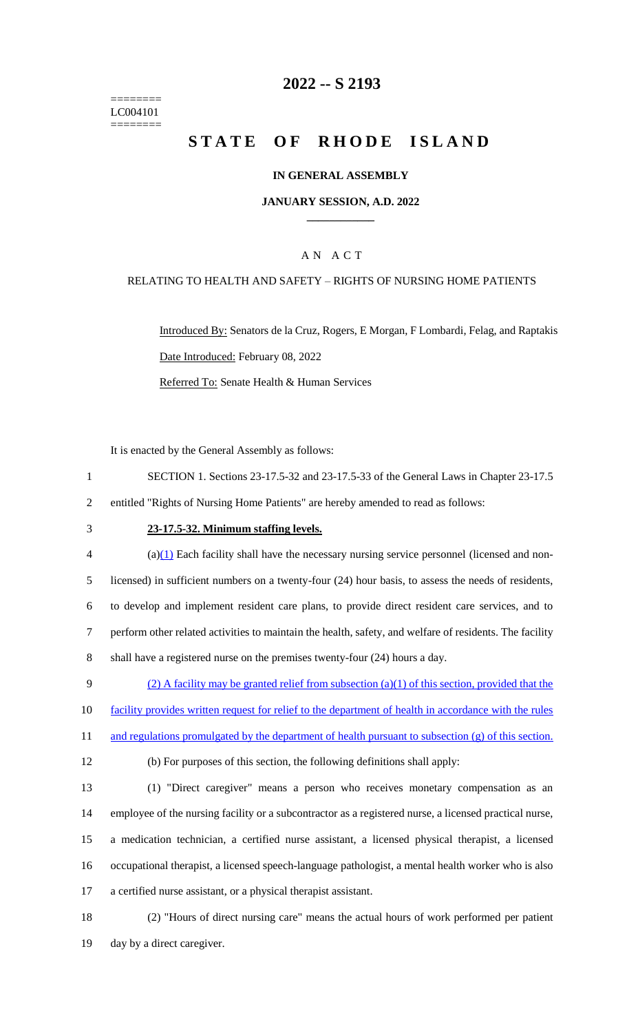======== LC004101 ========

## **2022 -- S 2193**

# **STATE OF RHODE ISLAND**

#### **IN GENERAL ASSEMBLY**

#### **JANUARY SESSION, A.D. 2022 \_\_\_\_\_\_\_\_\_\_\_\_**

### A N A C T

#### RELATING TO HEALTH AND SAFETY – RIGHTS OF NURSING HOME PATIENTS

Introduced By: Senators de la Cruz, Rogers, E Morgan, F Lombardi, Felag, and Raptakis Date Introduced: February 08, 2022 Referred To: Senate Health & Human Services

It is enacted by the General Assembly as follows:

- 1 SECTION 1. Sections 23-17.5-32 and 23-17.5-33 of the General Laws in Chapter 23-17.5 2 entitled "Rights of Nursing Home Patients" are hereby amended to read as follows:
- 

#### 3 **23-17.5-32. Minimum staffing levels.**

 (a)(1) Each facility shall have the necessary nursing service personnel (licensed and non- licensed) in sufficient numbers on a twenty-four (24) hour basis, to assess the needs of residents, to develop and implement resident care plans, to provide direct resident care services, and to perform other related activities to maintain the health, safety, and welfare of residents. The facility shall have a registered nurse on the premises twenty-four (24) hours a day.

- 9 (2) A facility may be granted relief from subsection (a)(1) of this section, provided that the 10 facility provides written request for relief to the department of health in accordance with the rules 11 and regulations promulgated by the department of health pursuant to subsection (g) of this section.
- 

12 (b) For purposes of this section, the following definitions shall apply:

- 13 (1) "Direct caregiver" means a person who receives monetary compensation as an 14 employee of the nursing facility or a subcontractor as a registered nurse, a licensed practical nurse, 15 a medication technician, a certified nurse assistant, a licensed physical therapist, a licensed 16 occupational therapist, a licensed speech-language pathologist, a mental health worker who is also 17 a certified nurse assistant, or a physical therapist assistant.
- 18 (2) "Hours of direct nursing care" means the actual hours of work performed per patient 19 day by a direct caregiver.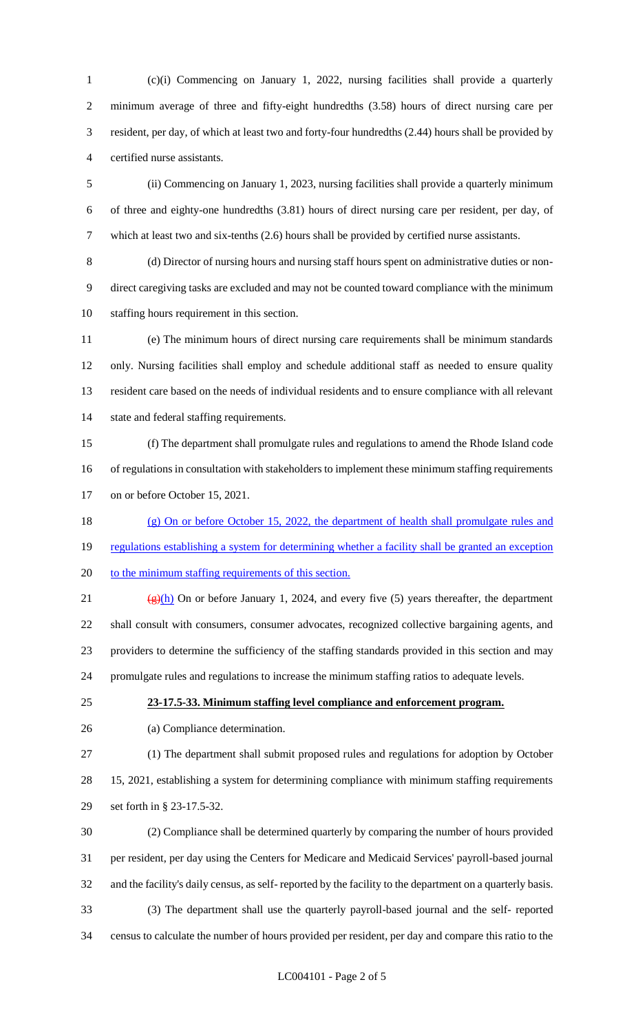(c)(i) Commencing on January 1, 2022, nursing facilities shall provide a quarterly minimum average of three and fifty-eight hundredths (3.58) hours of direct nursing care per resident, per day, of which at least two and forty-four hundredths (2.44) hours shall be provided by certified nurse assistants.

 (ii) Commencing on January 1, 2023, nursing facilities shall provide a quarterly minimum of three and eighty-one hundredths (3.81) hours of direct nursing care per resident, per day, of which at least two and six-tenths (2.6) hours shall be provided by certified nurse assistants.

 (d) Director of nursing hours and nursing staff hours spent on administrative duties or non- direct caregiving tasks are excluded and may not be counted toward compliance with the minimum staffing hours requirement in this section.

 (e) The minimum hours of direct nursing care requirements shall be minimum standards only. Nursing facilities shall employ and schedule additional staff as needed to ensure quality resident care based on the needs of individual residents and to ensure compliance with all relevant 14 state and federal staffing requirements.

 (f) The department shall promulgate rules and regulations to amend the Rhode Island code of regulations in consultation with stakeholders to implement these minimum staffing requirements on or before October 15, 2021.

18 (g) On or before October 15, 2022, the department of health shall promulgate rules and 19 regulations establishing a system for determining whether a facility shall be granted an exception 20 to the minimum staffing requirements of this section.

21 ( $\frac{g(h)}{h}$  On or before January 1, 2024, and every five (5) years thereafter, the department shall consult with consumers, consumer advocates, recognized collective bargaining agents, and providers to determine the sufficiency of the staffing standards provided in this section and may promulgate rules and regulations to increase the minimum staffing ratios to adequate levels.

## **23-17.5-33. Minimum staffing level compliance and enforcement program.**

(a) Compliance determination.

 (1) The department shall submit proposed rules and regulations for adoption by October 15, 2021, establishing a system for determining compliance with minimum staffing requirements set forth in § 23-17.5-32.

 (2) Compliance shall be determined quarterly by comparing the number of hours provided per resident, per day using the Centers for Medicare and Medicaid Services' payroll-based journal and the facility's daily census, as self- reported by the facility to the department on a quarterly basis. (3) The department shall use the quarterly payroll-based journal and the self- reported census to calculate the number of hours provided per resident, per day and compare this ratio to the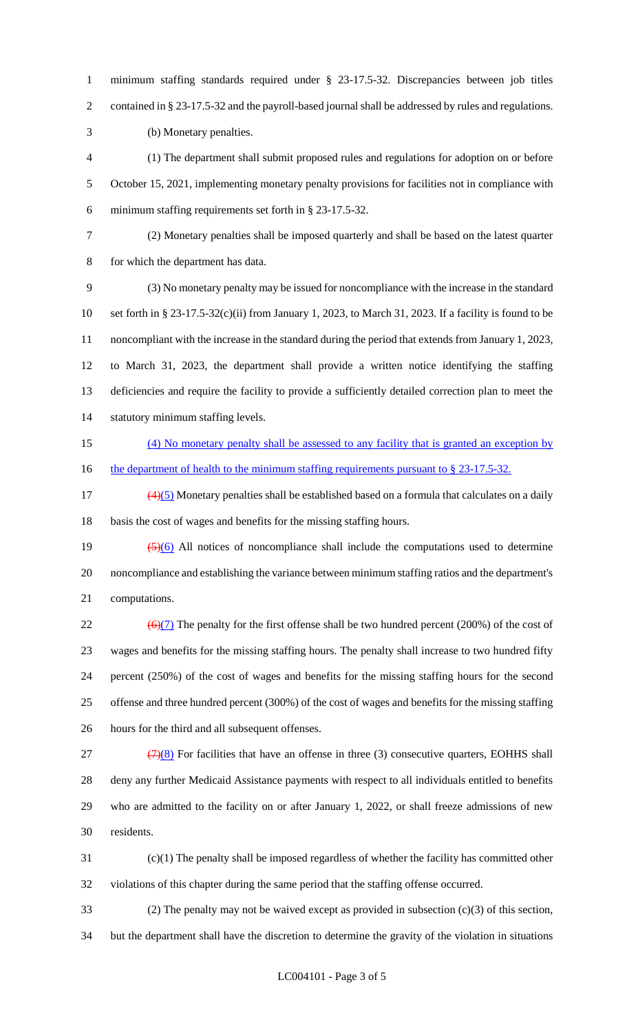minimum staffing standards required under § 23-17.5-32. Discrepancies between job titles contained in § 23-17.5-32 and the payroll-based journal shall be addressed by rules and regulations.

(b) Monetary penalties.

 (1) The department shall submit proposed rules and regulations for adoption on or before October 15, 2021, implementing monetary penalty provisions for facilities not in compliance with minimum staffing requirements set forth in § 23-17.5-32.

 (2) Monetary penalties shall be imposed quarterly and shall be based on the latest quarter for which the department has data.

 (3) No monetary penalty may be issued for noncompliance with the increase in the standard set forth in § 23-17.5-32(c)(ii) from January 1, 2023, to March 31, 2023. If a facility is found to be noncompliant with the increase in the standard during the period that extends from January 1, 2023, to March 31, 2023, the department shall provide a written notice identifying the staffing deficiencies and require the facility to provide a sufficiently detailed correction plan to meet the statutory minimum staffing levels.

 (4) No monetary penalty shall be assessed to any facility that is granted an exception by 16 the department of health to the minimum staffing requirements pursuant to § 23-17.5-32.

 $\left(\frac{4}{5}\right)$  Monetary penalties shall be established based on a formula that calculates on a daily basis the cost of wages and benefits for the missing staffing hours.

19  $\left(\frac{5}{6}\right)$  All notices of noncompliance shall include the computations used to determine noncompliance and establishing the variance between minimum staffing ratios and the department's computations.

 $\left(\frac{\Theta(7)}{1}\right)$  The penalty for the first offense shall be two hundred percent (200%) of the cost of wages and benefits for the missing staffing hours. The penalty shall increase to two hundred fifty percent (250%) of the cost of wages and benefits for the missing staffing hours for the second offense and three hundred percent (300%) of the cost of wages and benefits for the missing staffing hours for the third and all subsequent offenses.

 $(7)(8)$  For facilities that have an offense in three (3) consecutive quarters, EOHHS shall deny any further Medicaid Assistance payments with respect to all individuals entitled to benefits who are admitted to the facility on or after January 1, 2022, or shall freeze admissions of new residents.

 (c)(1) The penalty shall be imposed regardless of whether the facility has committed other violations of this chapter during the same period that the staffing offense occurred.

 (2) The penalty may not be waived except as provided in subsection (c)(3) of this section, but the department shall have the discretion to determine the gravity of the violation in situations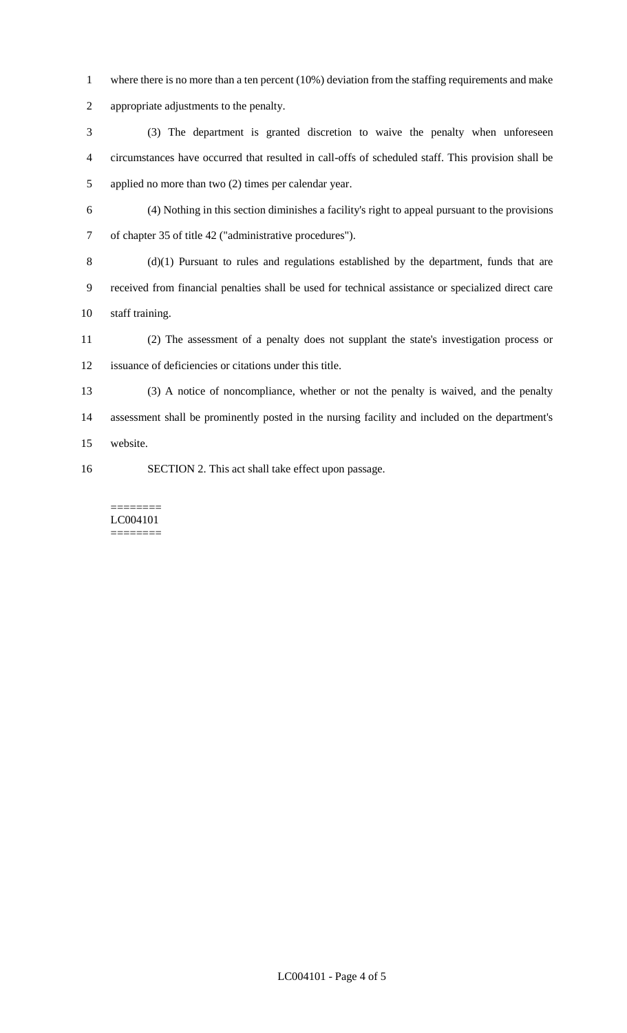- 1 where there is no more than a ten percent (10%) deviation from the staffing requirements and make
- appropriate adjustments to the penalty.

 (3) The department is granted discretion to waive the penalty when unforeseen circumstances have occurred that resulted in call-offs of scheduled staff. This provision shall be applied no more than two (2) times per calendar year.

 (4) Nothing in this section diminishes a facility's right to appeal pursuant to the provisions of chapter 35 of title 42 ("administrative procedures").

 (d)(1) Pursuant to rules and regulations established by the department, funds that are received from financial penalties shall be used for technical assistance or specialized direct care staff training.

- (2) The assessment of a penalty does not supplant the state's investigation process or issuance of deficiencies or citations under this title.
- (3) A notice of noncompliance, whether or not the penalty is waived, and the penalty assessment shall be prominently posted in the nursing facility and included on the department's website.
- SECTION 2. This act shall take effect upon passage.

======== LC004101 ========